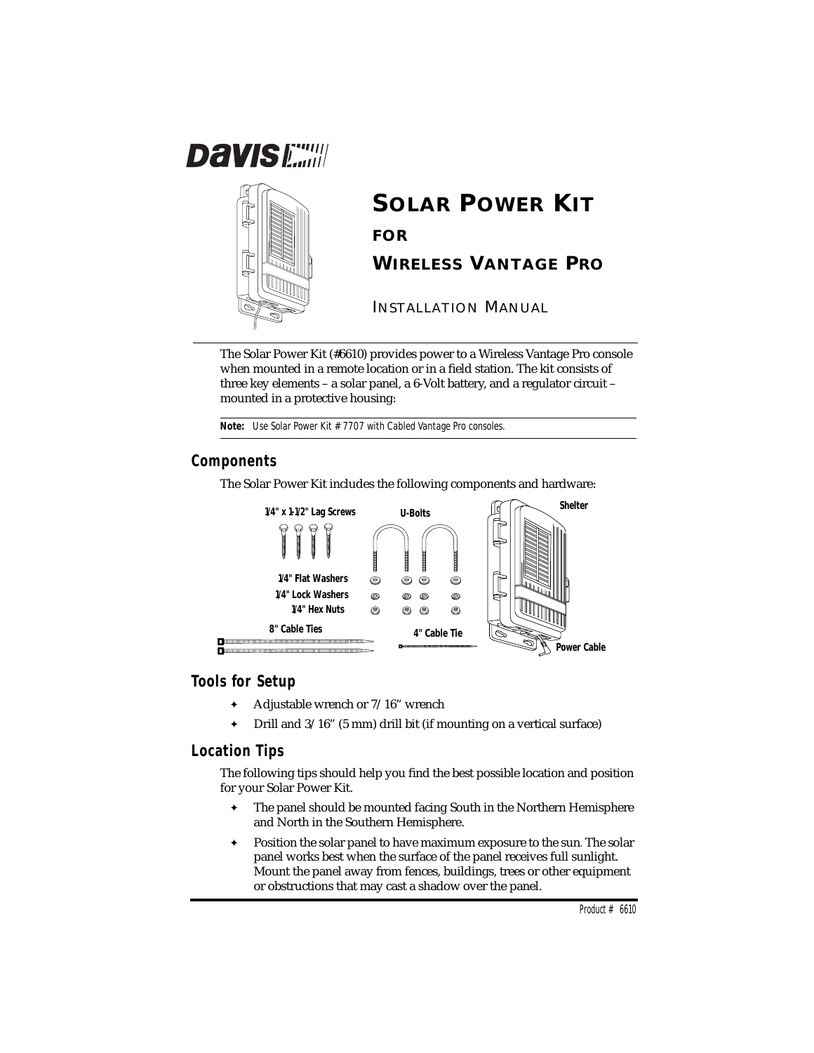



# **SOLAR POWER KIT FOR WIRELESS VANTAGE PRO**

INSTALLATION MANUAL

The Solar Power Kit (#6610) provides power to a Wireless Vantage Pro console when mounted in a remote location or in a field station. The kit consists of three key elements – a solar panel, a 6-Volt battery, and a regulator circuit – mounted in a protective housing:

**Note:** *Use Solar Power Kit #7707 with Cabled Vantage Pro consoles.*

# **Components**

The Solar Power Kit includes the following components and hardware:



#### **Tools for Setup**

- ✦ Adjustable wrench or 7/16" wrench
- ✦ Drill and 3/16" (5 mm) drill bit (if mounting on a vertical surface)

#### **Location Tips**

The following tips should help you find the best possible location and position for your Solar Power Kit.

- ✦ The panel should be mounted facing South in the Northern Hemisphere and North in the Southern Hemisphere.
- ✦ Position the solar panel to have maximum exposure to the sun*.* The solar panel works best when the surface of the panel receives full sunlight. Mount the panel away from fences, buildings, trees or other equipment or obstructions that may cast a shadow over the panel.

Product  $# 6610$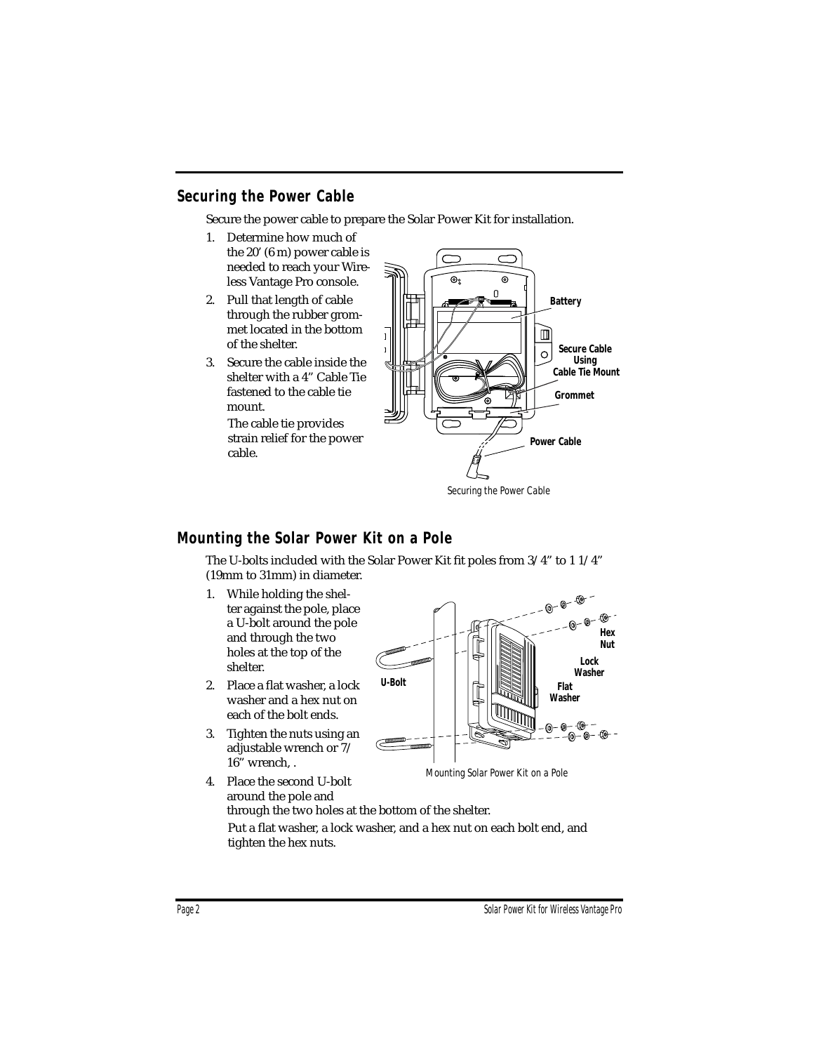## **Securing the Power Cable**

Secure the power cable to prepare the Solar Power Kit for installation.

- 1. Determine how much of the 20' (6 m) power cable is needed to reach your Wireless Vantage Pro console.
- 2. Pull that length of cable through the rubber grommet located in the bottom of the shelter.
- 3. Secure the cable inside the shelter with a 4" Cable Tie fastened to the cable tie mount.

The cable tie provides strain relief for the power cable.



*Securing the Power Cable*

#### **Mounting the Solar Power Kit on a Pole**

The U-bolts included with the Solar Power Kit fit poles from 3/4" to 1 1/4" (19mm to 31mm) in diameter.

- 1. While holding the shelter against the pole, place a U-bolt around the pole and through the two holes at the top of the shelter.
- 2. Place a flat washer, a lock washer and a hex nut on each of the bolt ends.
- 3. Tighten the nuts using an adjustable wrench or 7/ 16" wrench, .



*Mounting Solar Power Kit on a Pole*

4. Place the second U-bolt around the pole and through the two holes at the bottom of the shelter.

Put a flat washer, a lock washer, and a hex nut on each bolt end, and tighten the hex nuts.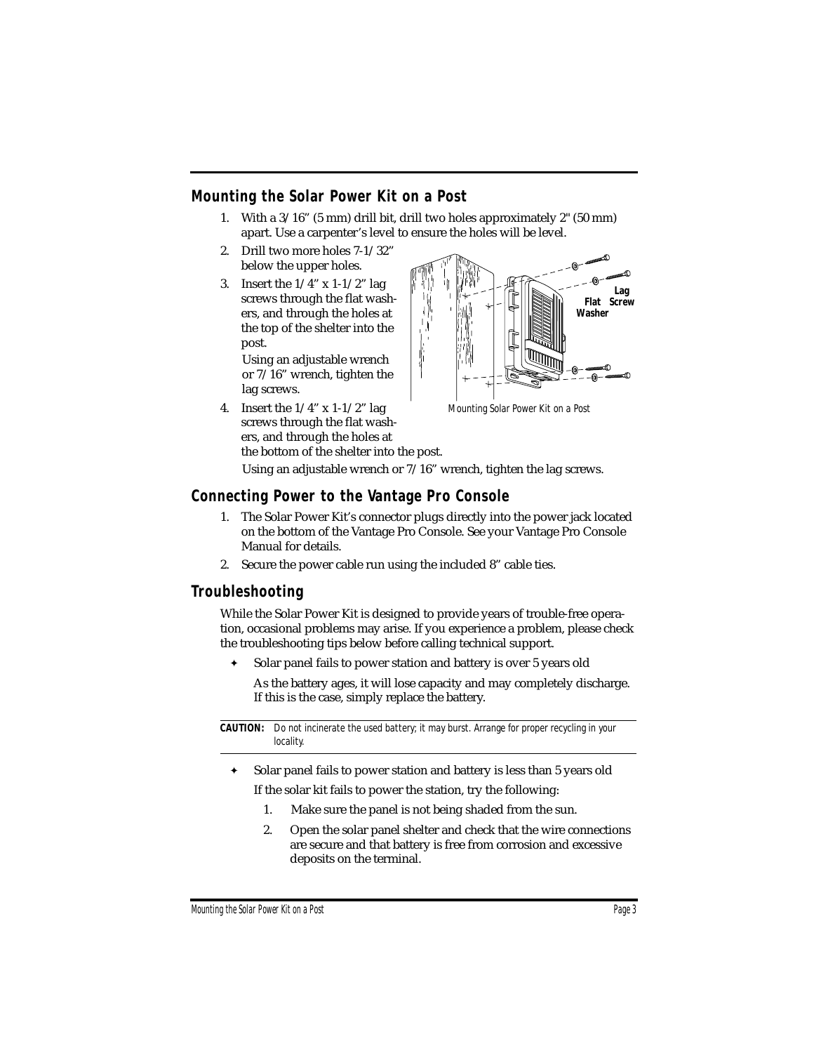# **Mounting the Solar Power Kit on a Post**

- 1. With a 3/16" (5 mm) drill bit, drill two holes approximately 2" (50 mm) apart. Use a carpenter's level to ensure the holes will be level.
- 2. Drill two more holes 7-1/32" below the upper holes.
- 3. Insert the  $1/4$ " x  $1-1/2$ " lag screws through the flat washers, and through the holes at the top of the shelter into the post.

Using an adjustable wrench or 7/16" wrench, tighten the lag screws.

4. Insert the  $1/4$ " x  $1-1/2$ " lag screws through the flat washers, and through the holes at the bottom of the shelter into the post.



*Mounting Solar Power Kit on a Post*

Using an adjustable wrench or 7/16" wrench, tighten the lag screws.

## **Connecting Power to the Vantage Pro Console**

- 1. The Solar Power Kit's connector plugs directly into the power jack located on the bottom of the Vantage Pro Console. See your Vantage Pro Console Manual for details.
- 2. Secure the power cable run using the included 8" cable ties.

#### **Troubleshooting**

While the Solar Power Kit is designed to provide years of trouble-free operation, occasional problems may arise. If you experience a problem, please check the troubleshooting tips below before calling technical support.

✦ Solar panel fails to power station and battery is over 5 years old

As the battery ages, it will lose capacity and may completely discharge. If this is the case, simply replace the battery.

**CAUTION:** *Do not incinerate the used battery; it may burst. Arrange for proper recycling in your locality.*

- ✦ Solar panel fails to power station and battery is less than 5 years old If the solar kit fails to power the station, try the following:
	- 1. Make sure the panel is not being shaded from the sun.
	- 2. Open the solar panel shelter and check that the wire connections are secure and that battery is free from corrosion and excessive deposits on the terminal.